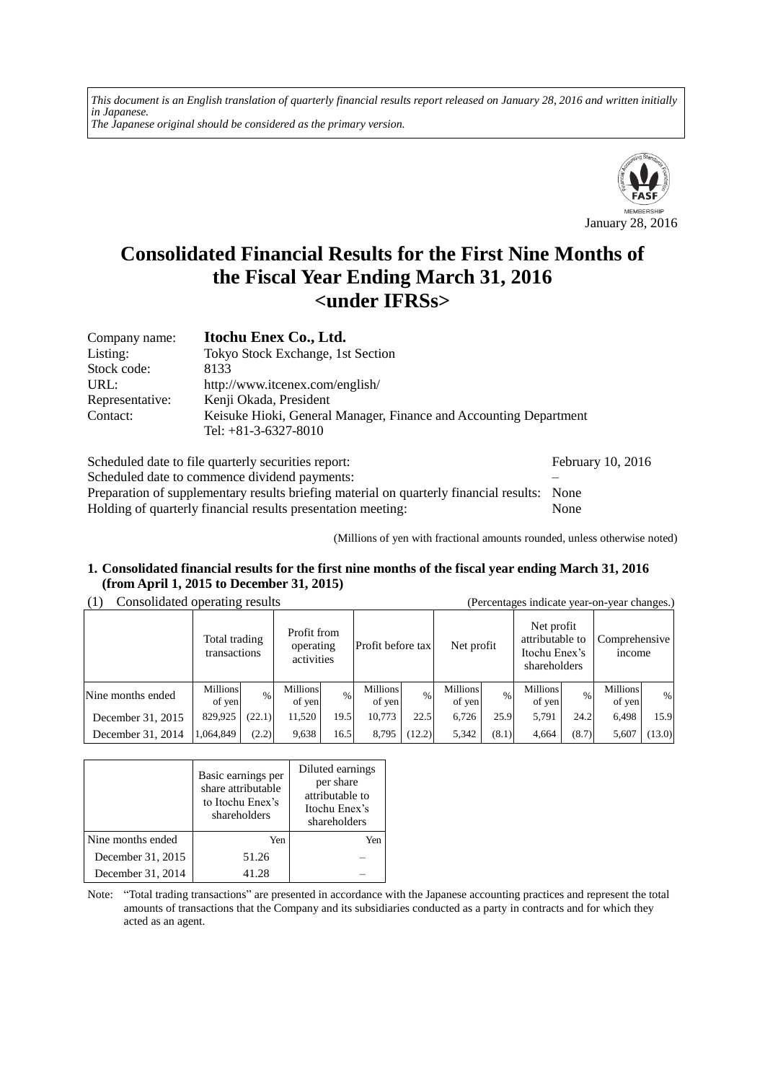*This document is an English translation of quarterly financial results report released on January 28, 2016 and written initially in Japanese. The Japanese original should be considered as the primary version.*



# **Consolidated Financial Results for the First Nine Months of the Fiscal Year Ending March 31, 2016 <under IFRSs>**

| Company name:   | Itochu Enex Co., Ltd.                                                                       |
|-----------------|---------------------------------------------------------------------------------------------|
| Listing:        | Tokyo Stock Exchange, 1st Section                                                           |
| Stock code:     | 8133                                                                                        |
| URL:            | http://www.itcenex.com/english/                                                             |
| Representative: | Kenji Okada, President                                                                      |
| Contact:        | Keisuke Hioki, General Manager, Finance and Accounting Department<br>Tel: $+81-3-6327-8010$ |

| Scheduled date to file quarterly securities report:                                         | February 10, 2016 |
|---------------------------------------------------------------------------------------------|-------------------|
| Scheduled date to commence dividend payments:                                               |                   |
| Preparation of supplementary results briefing material on quarterly financial results: None |                   |
| Holding of quarterly financial results presentation meeting:                                | None              |

(Millions of yen with fractional amounts rounded, unless otherwise noted)

#### **1. Consolidated financial results for the first nine months of the fiscal year ending March 31, 2016 (from April 1, 2015 to December 31, 2015)**

# (1) Consolidated operating results (Percentages indicate year-on-year changes.)

| $\sim$            | Total trading<br>transactions |        | Profit from<br>operating<br>activities |      | Profit before tax  |        | Net profit                |       | Net profit<br>attributable to<br>Itochu Enex's<br>shareholders |       | Comprehensive<br><i>ncome</i> |        |
|-------------------|-------------------------------|--------|----------------------------------------|------|--------------------|--------|---------------------------|-------|----------------------------------------------------------------|-------|-------------------------------|--------|
| Nine months ended | <b>Millions</b><br>of yen     | $\%$   | <b>Millions</b><br>of yen              | $\%$ | Millions<br>of yen | $\%$   | <b>Millions</b><br>of yen | $\%$  | Millions<br>of yen                                             | $\%$  | <b>Millions</b><br>of yen     | %      |
| December 31, 2015 | 829,925                       | (22.1) | 11.520                                 | 19.5 | 10,773             | 22.5   | 6,726                     | 25.9  | 5,791                                                          | 24.2  | 6,498                         | 15.9   |
| December 31, 2014 | 1,064,849                     | (2.2)  | 9,638                                  | 16.5 | 8,795              | (12.2) | 5,342                     | (8.1) | 4.664                                                          | (8.7) | 5,607                         | (13.0) |

|                   | Basic earnings per<br>share attributable<br>to Itochu Enex's<br>shareholders | Diluted earnings<br>per share<br>attributable to<br>Itochu Enex's<br>shareholders |
|-------------------|------------------------------------------------------------------------------|-----------------------------------------------------------------------------------|
| Nine months ended | Yen                                                                          | Yen                                                                               |
| December 31, 2015 | 51.26                                                                        |                                                                                   |
| December 31, 2014 | 41.28                                                                        |                                                                                   |

Note: "Total trading transactions" are presented in accordance with the Japanese accounting practices and represent the total amounts of transactions that the Company and its subsidiaries conducted as a party in contracts and for which they acted as an agent.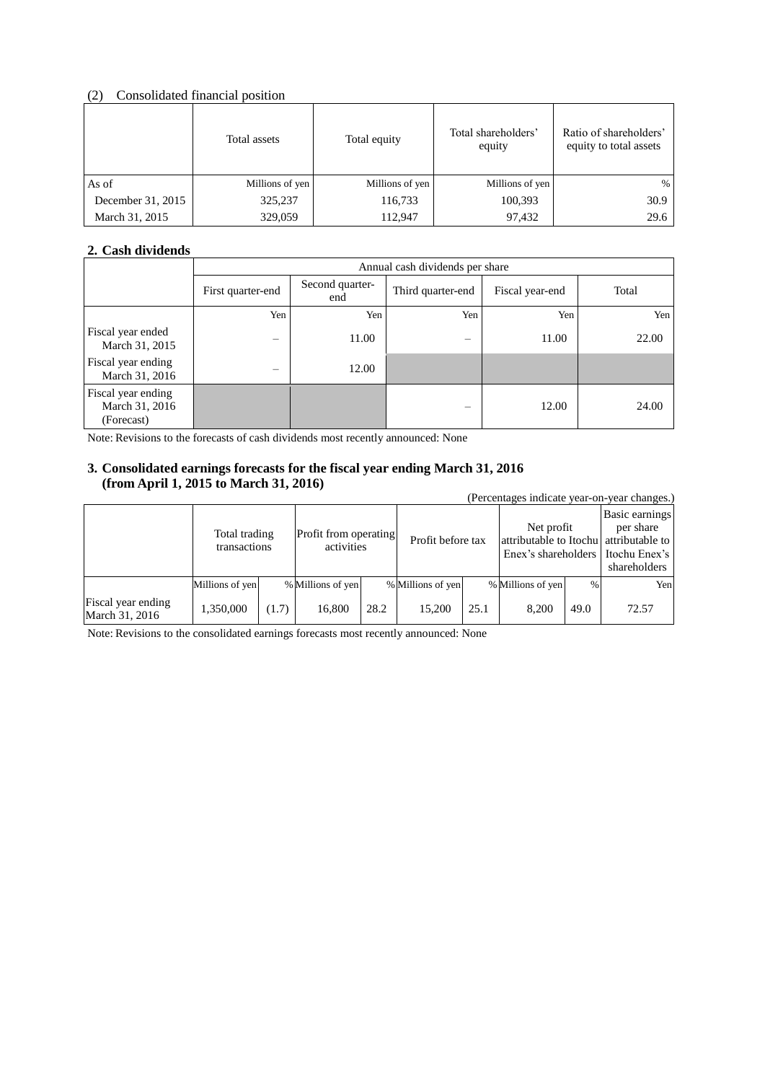#### (2) Consolidated financial position

|                   | Total assets    | Total equity    | Total shareholders'<br>equity | Ratio of shareholders'<br>equity to total assets |
|-------------------|-----------------|-----------------|-------------------------------|--------------------------------------------------|
| As of             | Millions of yen | Millions of yen | Millions of yen               | $\%$                                             |
| December 31, 2015 | 325,237         | 116,733         | 100,393                       | 30.9                                             |
| March 31, 2015    | 329,059         | 112,947         | 97,432                        | 29.6                                             |

## **2. Cash dividends**

|                                                    | Annual cash dividends per share |                        |                          |                 |       |  |
|----------------------------------------------------|---------------------------------|------------------------|--------------------------|-----------------|-------|--|
|                                                    | First quarter-end               | Second quarter-<br>end | Third quarter-end        | Fiscal year-end | Total |  |
|                                                    | Yen                             | Yen                    | Yen                      | Yen             | Yen   |  |
| Fiscal year ended<br>March 31, 2015                | -                               | 11.00                  | $\overline{\phantom{0}}$ | 11.00           | 22.00 |  |
| Fiscal year ending<br>March 31, 2016               |                                 | 12.00                  |                          |                 |       |  |
| Fiscal year ending<br>March 31, 2016<br>(Forecast) |                                 |                        | -                        | 12.00           | 24.00 |  |

Note: Revisions to the forecasts of cash dividends most recently announced: None

#### **3. Consolidated earnings forecasts for the fiscal year ending March 31, 2016 (from April 1, 2015 to March 31, 2016)**

| (Percentages indicate year-on-year changes.) |                               |       |                                     |      |                   |      |                                                                                               |      |                                             |
|----------------------------------------------|-------------------------------|-------|-------------------------------------|------|-------------------|------|-----------------------------------------------------------------------------------------------|------|---------------------------------------------|
|                                              | Total trading<br>transactions |       | Profit from operating<br>activities |      | Profit before tax |      | Net profit<br>attributable to Itochu attributable to<br>Enex's shareholders I Itochu Enex's I |      | Basic earnings<br>per share<br>shareholders |
|                                              | Millions of yen               |       | % Millions of yen                   |      | % Millions of yen |      | % Millions of yen                                                                             | $\%$ | Yen                                         |
| Fiscal year ending<br>March 31, 2016         | 1,350,000                     | (1.7) | 16,800                              | 28.2 | 15.200            | 25.1 | 8.200                                                                                         | 49.0 | 72.57                                       |

Note: Revisions to the consolidated earnings forecasts most recently announced: None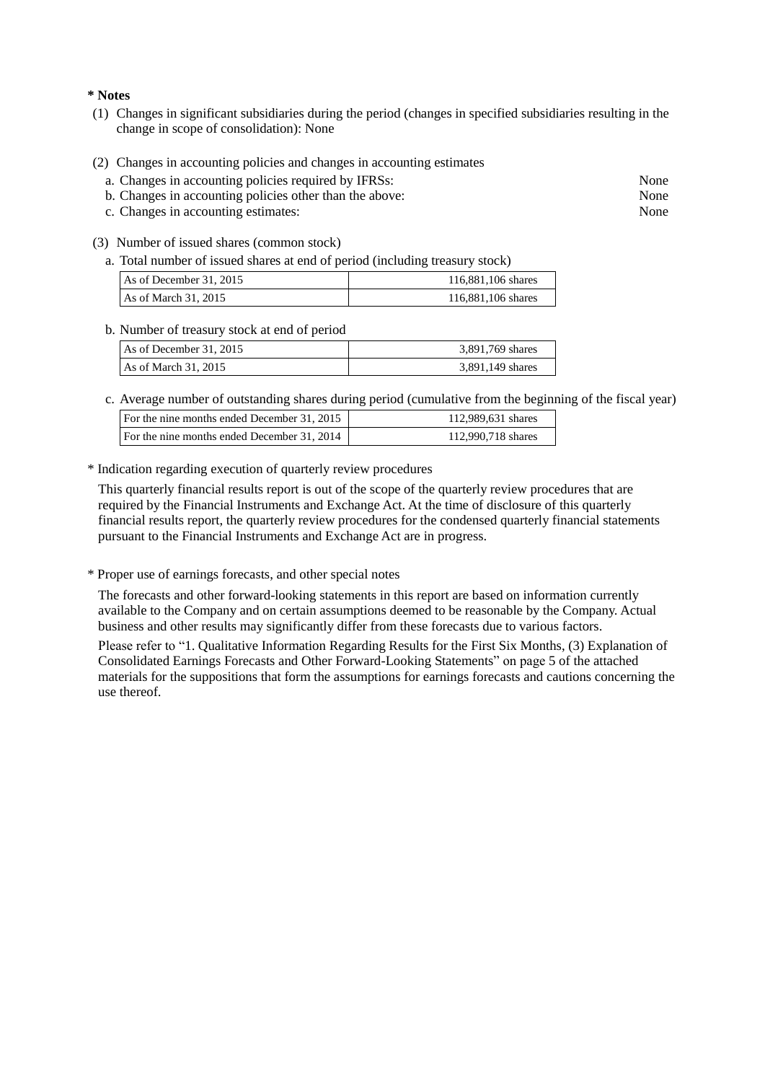**\* Notes**

- (1) Changes in significant subsidiaries during the period (changes in specified subsidiaries resulting in the change in scope of consolidation): None
- (2) Changes in accounting policies and changes in accounting estimates
	- a. Changes in accounting policies required by IFRSs: None
	- b. Changes in accounting policies other than the above: None
	- c. Changes in accounting estimates: None
- (3) Number of issued shares (common stock)
	- a. Total number of issued shares at end of period (including treasury stock)

| As of December 31, 2015 | 116,881,106 shares |
|-------------------------|--------------------|
| As of March $31, 2015$  | 116,881,106 shares |

#### b. Number of treasury stock at end of period

| As of December 31, 2015 | 3,891,769 shares |
|-------------------------|------------------|
| As of March 31, 2015    | 3,891,149 shares |

c. Average number of outstanding shares during period (cumulative from the beginning of the fiscal year)

| For the nine months ended December 31, 2015 | 112,989,631 shares |
|---------------------------------------------|--------------------|
| For the nine months ended December 31, 2014 | 112,990,718 shares |

\* Indication regarding execution of quarterly review procedures

This quarterly financial results report is out of the scope of the quarterly review procedures that are required by the Financial Instruments and Exchange Act. At the time of disclosure of this quarterly financial results report, the quarterly review procedures for the condensed quarterly financial statements pursuant to the Financial Instruments and Exchange Act are in progress.

\* Proper use of earnings forecasts, and other special notes

The forecasts and other forward-looking statements in this report are based on information currently available to the Company and on certain assumptions deemed to be reasonable by the Company. Actual business and other results may significantly differ from these forecasts due to various factors.

Please refer to "1. Qualitative Information Regarding Results for the First Six Months, (3) Explanation of Consolidated Earnings Forecasts and Other Forward-Looking Statements" on page 5 of the attached materials for the suppositions that form the assumptions for earnings forecasts and cautions concerning the use thereof.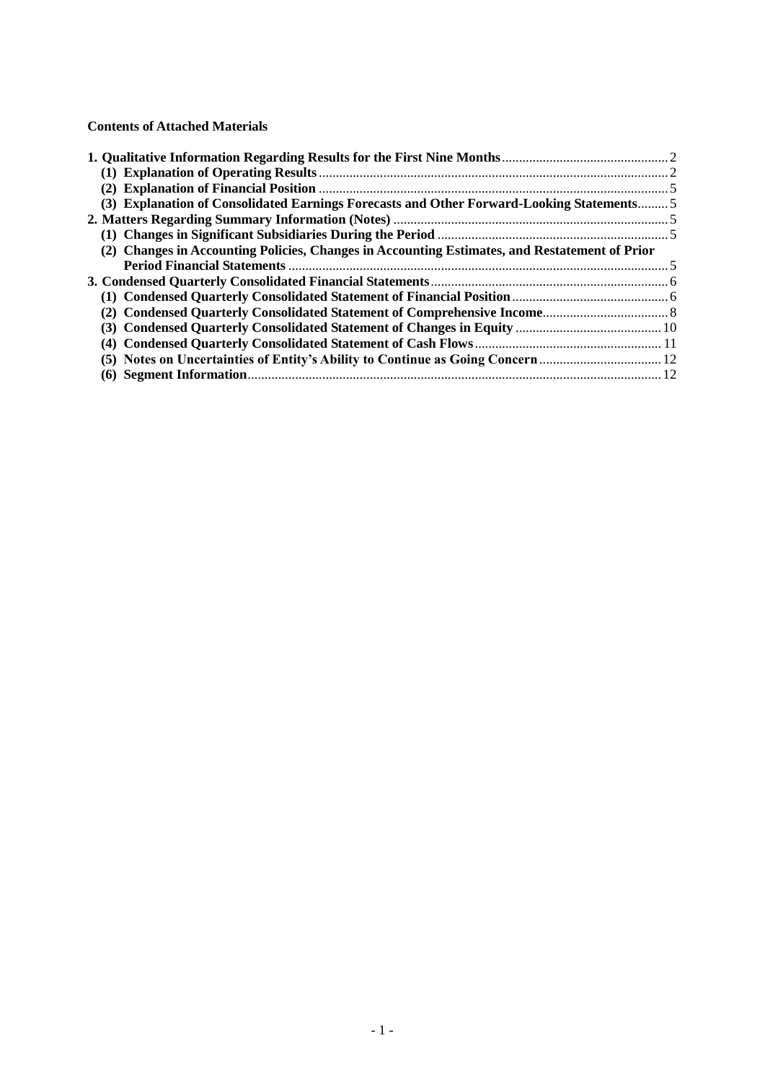#### **Contents of Attached Materials**

| (3) Explanation of Consolidated Earnings Forecasts and Other Forward-Looking Statements 5     |  |
|-----------------------------------------------------------------------------------------------|--|
|                                                                                               |  |
|                                                                                               |  |
| (2) Changes in Accounting Policies, Changes in Accounting Estimates, and Restatement of Prior |  |
|                                                                                               |  |
|                                                                                               |  |
|                                                                                               |  |
|                                                                                               |  |
|                                                                                               |  |
|                                                                                               |  |
| (5) Notes on Uncertainties of Entity's Ability to Continue as Going Concern                   |  |
|                                                                                               |  |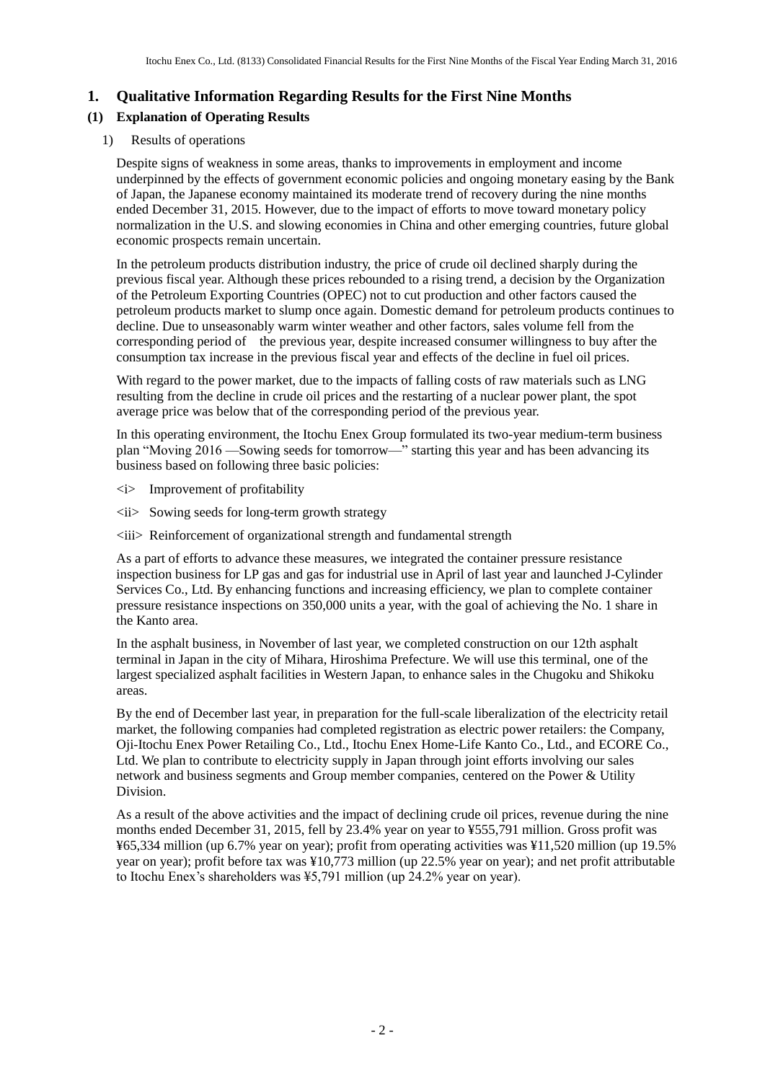# **1. Qualitative Information Regarding Results for the First Nine Months**

# **(1) Explanation of Operating Results**

#### 1) Results of operations

Despite signs of weakness in some areas, thanks to improvements in employment and income underpinned by the effects of government economic policies and ongoing monetary easing by the Bank of Japan, the Japanese economy maintained its moderate trend of recovery during the nine months ended December 31, 2015. However, due to the impact of efforts to move toward monetary policy normalization in the U.S. and slowing economies in China and other emerging countries, future global economic prospects remain uncertain.

In the petroleum products distribution industry, the price of crude oil declined sharply during the previous fiscal year. Although these prices rebounded to a rising trend, a decision by the Organization of the Petroleum Exporting Countries (OPEC) not to cut production and other factors caused the petroleum products market to slump once again. Domestic demand for petroleum products continues to decline. Due to unseasonably warm winter weather and other factors, sales volume fell from the corresponding period of the previous year, despite increased consumer willingness to buy after the consumption tax increase in the previous fiscal year and effects of the decline in fuel oil prices.

With regard to the power market, due to the impacts of falling costs of raw materials such as LNG resulting from the decline in crude oil prices and the restarting of a nuclear power plant, the spot average price was below that of the corresponding period of the previous year.

In this operating environment, the Itochu Enex Group formulated its two-year medium-term business plan "Moving 2016 —Sowing seeds for tomorrow—" starting this year and has been advancing its business based on following three basic policies:

- <i> Improvement of profitability
- $\langle ii \rangle$  Sowing seeds for long-term growth strategy
- $\langle iii\rangle$  Reinforcement of organizational strength and fundamental strength

As a part of efforts to advance these measures, we integrated the container pressure resistance inspection business for LP gas and gas for industrial use in April of last year and launched J-Cylinder Services Co., Ltd. By enhancing functions and increasing efficiency, we plan to complete container pressure resistance inspections on 350,000 units a year, with the goal of achieving the No. 1 share in the Kanto area.

In the asphalt business, in November of last year, we completed construction on our 12th asphalt terminal in Japan in the city of Mihara, Hiroshima Prefecture. We will use this terminal, one of the largest specialized asphalt facilities in Western Japan, to enhance sales in the Chugoku and Shikoku areas.

By the end of December last year, in preparation for the full-scale liberalization of the electricity retail market, the following companies had completed registration as electric power retailers: the Company, Oji-Itochu Enex Power Retailing Co., Ltd., Itochu Enex Home-Life Kanto Co., Ltd., and ECORE Co., Ltd. We plan to contribute to electricity supply in Japan through joint efforts involving our sales network and business segments and Group member companies, centered on the Power & Utility Division.

As a result of the above activities and the impact of declining crude oil prices, revenue during the nine months ended December 31, 2015, fell by 23.4% year on year to ¥555,791 million. Gross profit was ¥65,334 million (up 6.7% year on year); profit from operating activities was ¥11,520 million (up 19.5% year on year); profit before tax was ¥10,773 million (up 22.5% year on year); and net profit attributable to Itochu Enex's shareholders was ¥5,791 million (up 24.2% year on year).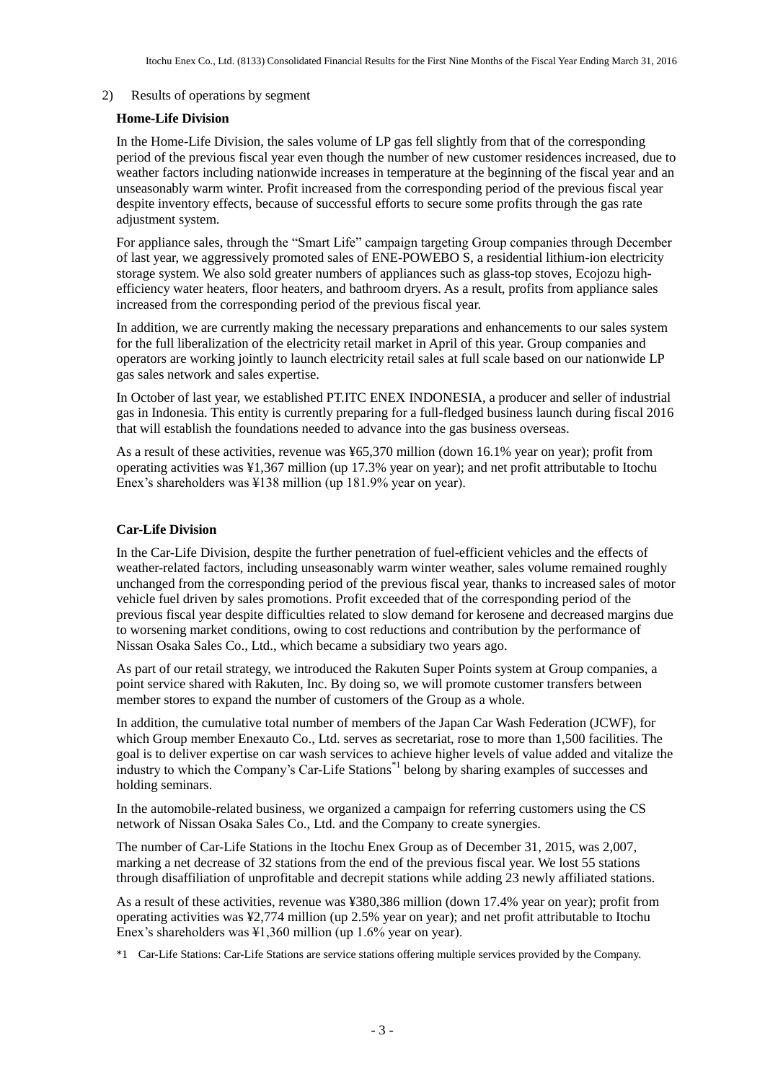#### 2) Results of operations by segment

#### **Home-Life Division**

In the Home-Life Division, the sales volume of LP gas fell slightly from that of the corresponding period of the previous fiscal year even though the number of new customer residences increased, due to weather factors including nationwide increases in temperature at the beginning of the fiscal year and an unseasonably warm winter. Profit increased from the corresponding period of the previous fiscal year despite inventory effects, because of successful efforts to secure some profits through the gas rate adjustment system.

For appliance sales, through the "Smart Life" campaign targeting Group companies through December of last year, we aggressively promoted sales of ENE-POWEBO S, a residential lithium-ion electricity storage system. We also sold greater numbers of appliances such as glass-top stoves, Ecojozu highefficiency water heaters, floor heaters, and bathroom dryers. As a result, profits from appliance sales increased from the corresponding period of the previous fiscal year.

In addition, we are currently making the necessary preparations and enhancements to our sales system for the full liberalization of the electricity retail market in April of this year. Group companies and operators are working jointly to launch electricity retail sales at full scale based on our nationwide LP gas sales network and sales expertise.

In October of last year, we established PT.ITC ENEX INDONESIA, a producer and seller of industrial gas in Indonesia. This entity is currently preparing for a full-fledged business launch during fiscal 2016 that will establish the foundations needed to advance into the gas business overseas.

As a result of these activities, revenue was ¥65,370 million (down 16.1% year on year); profit from operating activities was ¥1,367 million (up 17.3% year on year); and net profit attributable to Itochu Enex's shareholders was ¥138 million (up 181.9% year on year).

#### **Car-Life Division**

In the Car-Life Division, despite the further penetration of fuel-efficient vehicles and the effects of weather-related factors, including unseasonably warm winter weather, sales volume remained roughly unchanged from the corresponding period of the previous fiscal year, thanks to increased sales of motor vehicle fuel driven by sales promotions. Profit exceeded that of the corresponding period of the previous fiscal year despite difficulties related to slow demand for kerosene and decreased margins due to worsening market conditions, owing to cost reductions and contribution by the performance of Nissan Osaka Sales Co., Ltd., which became a subsidiary two years ago.

As part of our retail strategy, we introduced the Rakuten Super Points system at Group companies, a point service shared with Rakuten, Inc. By doing so, we will promote customer transfers between member stores to expand the number of customers of the Group as a whole.

In addition, the cumulative total number of members of the Japan Car Wash Federation (JCWF), for which Group member Enexauto Co., Ltd. serves as secretariat, rose to more than 1,500 facilities. The goal is to deliver expertise on car wash services to achieve higher levels of value added and vitalize the industry to which the Company's Car-Life Stations<sup>\*1</sup> belong by sharing examples of successes and holding seminars.

In the automobile-related business, we organized a campaign for referring customers using the CS network of Nissan Osaka Sales Co., Ltd. and the Company to create synergies.

The number of Car-Life Stations in the Itochu Enex Group as of December 31, 2015, was 2,007, marking a net decrease of 32 stations from the end of the previous fiscal year. We lost 55 stations through disaffiliation of unprofitable and decrepit stations while adding 23 newly affiliated stations.

As a result of these activities, revenue was ¥380,386 million (down 17.4% year on year); profit from operating activities was ¥2,774 million (up 2.5% year on year); and net profit attributable to Itochu Enex's shareholders was ¥1,360 million (up 1.6% year on year).

\*1 Car-Life Stations: Car-Life Stations are service stations offering multiple services provided by the Company.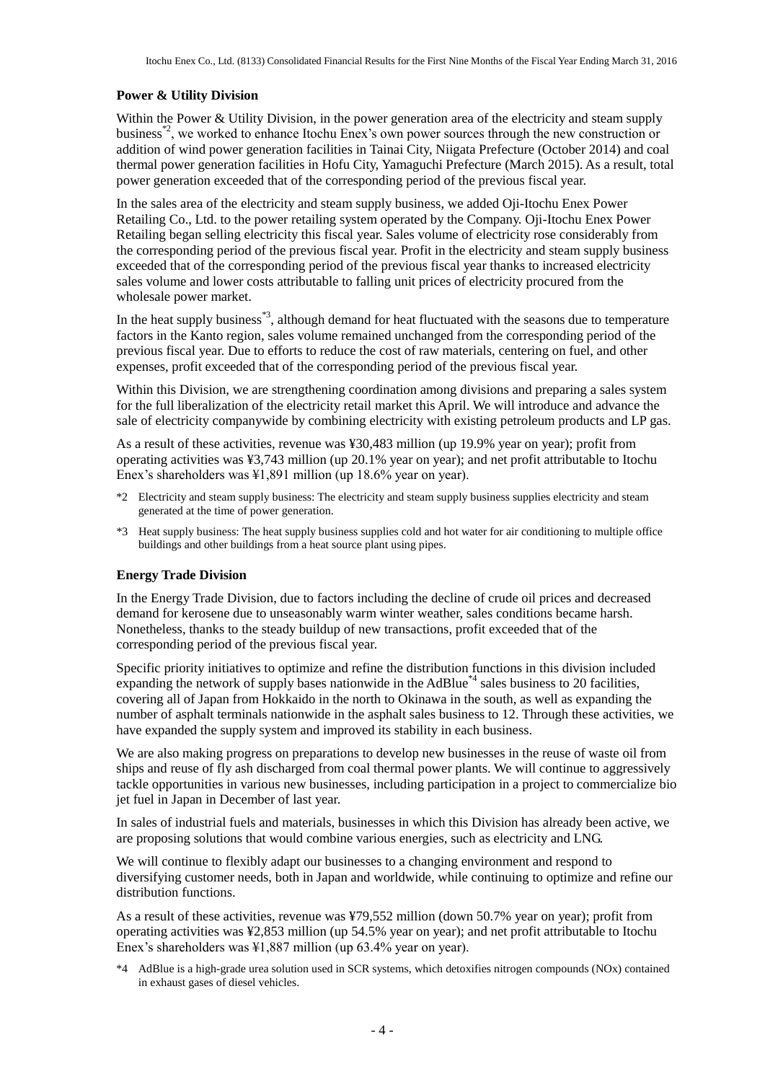#### **Power & Utility Division**

Within the Power & Utility Division, in the power generation area of the electricity and steam supply business\*2, we worked to enhance Itochu Enex's own power sources through the new construction or addition of wind power generation facilities in Tainai City, Niigata Prefecture (October 2014) and coal thermal power generation facilities in Hofu City, Yamaguchi Prefecture (March 2015). As a result, total power generation exceeded that of the corresponding period of the previous fiscal year.

In the sales area of the electricity and steam supply business, we added Oji-Itochu Enex Power Retailing Co., Ltd. to the power retailing system operated by the Company. Oji-Itochu Enex Power Retailing began selling electricity this fiscal year. Sales volume of electricity rose considerably from the corresponding period of the previous fiscal year. Profit in the electricity and steam supply business exceeded that of the corresponding period of the previous fiscal year thanks to increased electricity sales volume and lower costs attributable to falling unit prices of electricity procured from the wholesale power market.

In the heat supply business<sup>\*3</sup>, although demand for heat fluctuated with the seasons due to temperature factors in the Kanto region, sales volume remained unchanged from the corresponding period of the previous fiscal year. Due to efforts to reduce the cost of raw materials, centering on fuel, and other expenses, profit exceeded that of the corresponding period of the previous fiscal year.

Within this Division, we are strengthening coordination among divisions and preparing a sales system for the full liberalization of the electricity retail market this April. We will introduce and advance the sale of electricity companywide by combining electricity with existing petroleum products and LP gas.

As a result of these activities, revenue was ¥30,483 million (up 19.9% year on year); profit from operating activities was ¥3,743 million (up 20.1% year on year); and net profit attributable to Itochu Enex's shareholders was ¥1,891 million (up 18.6% year on year).

- \*2 Electricity and steam supply business: The electricity and steam supply business supplies electricity and steam generated at the time of power generation.
- \*3 Heat supply business: The heat supply business supplies cold and hot water for air conditioning to multiple office buildings and other buildings from a heat source plant using pipes.

#### **Energy Trade Division**

In the Energy Trade Division, due to factors including the decline of crude oil prices and decreased demand for kerosene due to unseasonably warm winter weather, sales conditions became harsh. Nonetheless, thanks to the steady buildup of new transactions, profit exceeded that of the corresponding period of the previous fiscal year.

Specific priority initiatives to optimize and refine the distribution functions in this division included expanding the network of supply bases nationwide in the AdBlue<sup>\*4</sup> sales business to 20 facilities, covering all of Japan from Hokkaido in the north to Okinawa in the south, as well as expanding the number of asphalt terminals nationwide in the asphalt sales business to 12. Through these activities, we have expanded the supply system and improved its stability in each business.

We are also making progress on preparations to develop new businesses in the reuse of waste oil from ships and reuse of fly ash discharged from coal thermal power plants. We will continue to aggressively tackle opportunities in various new businesses, including participation in a project to commercialize bio jet fuel in Japan in December of last year.

In sales of industrial fuels and materials, businesses in which this Division has already been active, we are proposing solutions that would combine various energies, such as electricity and LNG.

We will continue to flexibly adapt our businesses to a changing environment and respond to diversifying customer needs, both in Japan and worldwide, while continuing to optimize and refine our distribution functions.

As a result of these activities, revenue was ¥79,552 million (down 50.7% year on year); profit from operating activities was ¥2,853 million (up 54.5% year on year); and net profit attributable to Itochu Enex's shareholders was ¥1,887 million (up 63.4% year on year).

\*4 AdBlue is a high-grade urea solution used in SCR systems, which detoxifies nitrogen compounds (NOx) contained in exhaust gases of diesel vehicles.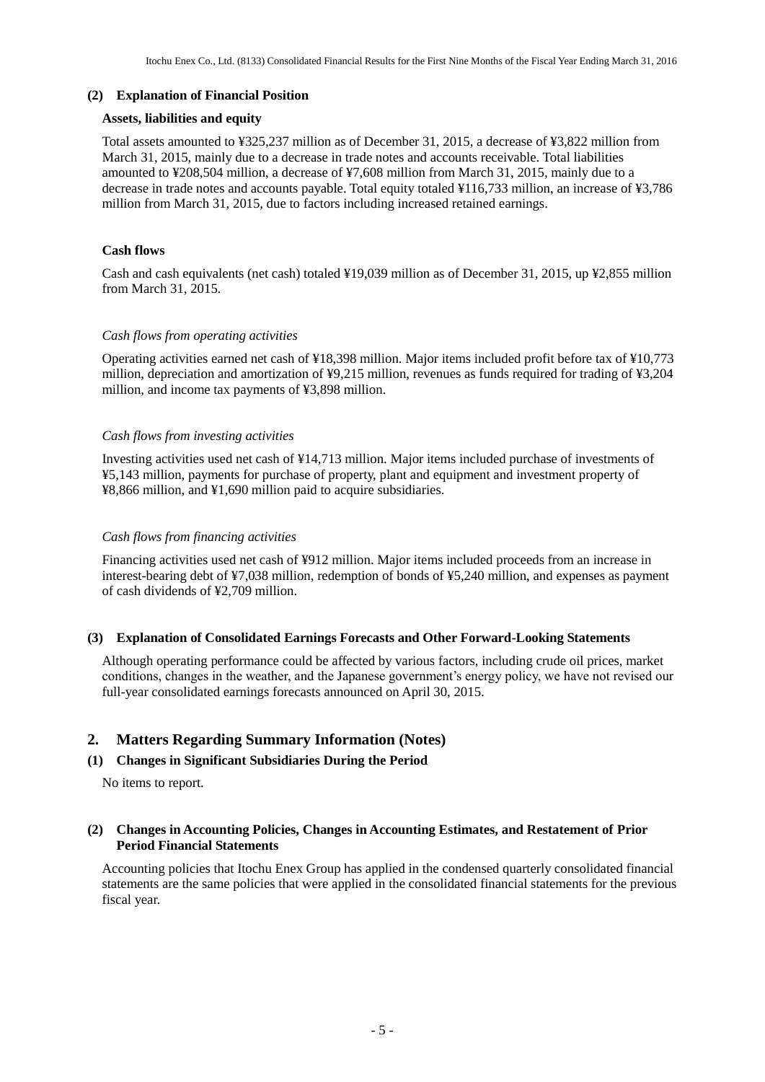#### **(2) Explanation of Financial Position**

#### **Assets, liabilities and equity**

Total assets amounted to ¥325,237 million as of December 31, 2015, a decrease of ¥3,822 million from March 31, 2015, mainly due to a decrease in trade notes and accounts receivable. Total liabilities amounted to ¥208,504 million, a decrease of ¥7,608 million from March 31, 2015, mainly due to a decrease in trade notes and accounts payable. Total equity totaled ¥116,733 million, an increase of ¥3,786 million from March 31, 2015, due to factors including increased retained earnings.

#### **Cash flows**

Cash and cash equivalents (net cash) totaled ¥19,039 million as of December 31, 2015, up ¥2,855 million from March 31, 2015.

#### *Cash flows from operating activities*

Operating activities earned net cash of ¥18,398 million. Major items included profit before tax of ¥10,773 million, depreciation and amortization of ¥9,215 million, revenues as funds required for trading of ¥3,204 million, and income tax payments of ¥3,898 million.

#### *Cash flows from investing activities*

Investing activities used net cash of ¥14,713 million. Major items included purchase of investments of ¥5,143 million, payments for purchase of property, plant and equipment and investment property of ¥8,866 million, and ¥1,690 million paid to acquire subsidiaries.

#### *Cash flows from financing activities*

Financing activities used net cash of ¥912 million. Major items included proceeds from an increase in interest-bearing debt of ¥7,038 million, redemption of bonds of ¥5,240 million, and expenses as payment of cash dividends of ¥2,709 million.

#### **(3) Explanation of Consolidated Earnings Forecasts and Other Forward-Looking Statements**

Although operating performance could be affected by various factors, including crude oil prices, market conditions, changes in the weather, and the Japanese government's energy policy, we have not revised our full-year consolidated earnings forecasts announced on April 30, 2015.

## **2. Matters Regarding Summary Information (Notes)**

#### **(1) Changes in Significant Subsidiaries During the Period**

No items to report.

#### **(2) Changes in Accounting Policies, Changes in Accounting Estimates, and Restatement of Prior Period Financial Statements**

Accounting policies that Itochu Enex Group has applied in the condensed quarterly consolidated financial statements are the same policies that were applied in the consolidated financial statements for the previous fiscal year.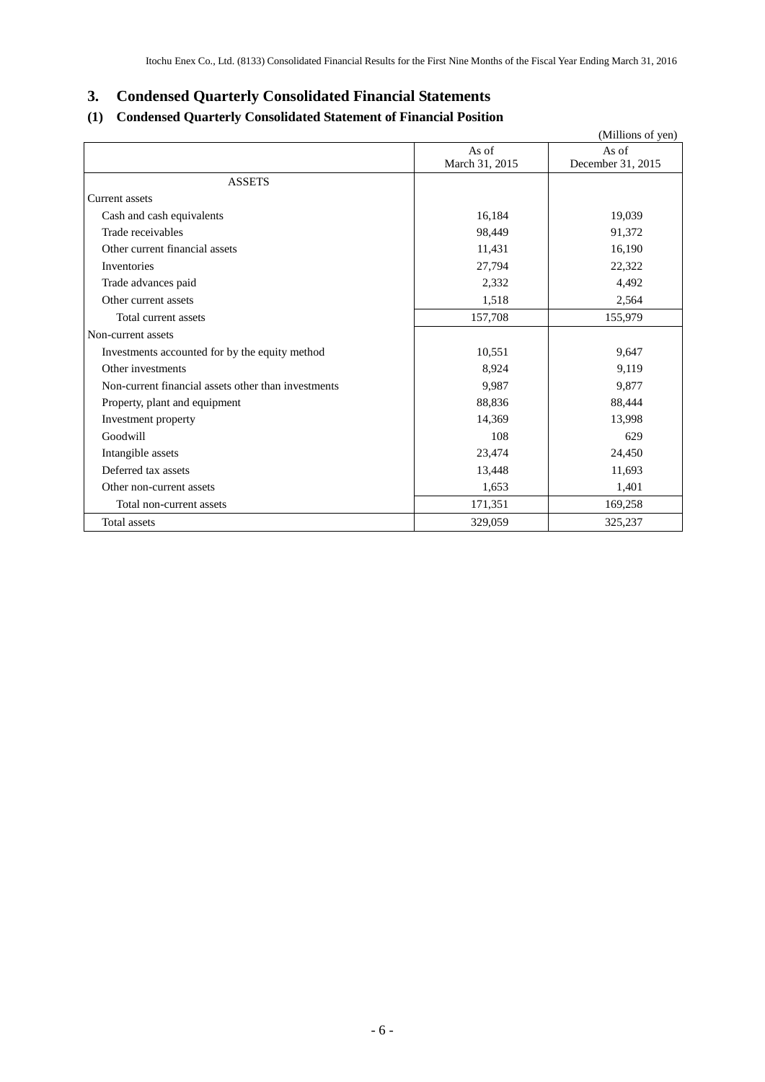# **3. Condensed Quarterly Consolidated Financial Statements**

# **(1) Condensed Quarterly Consolidated Statement of Financial Position**

|                                                     |                | (Millions of yen) |
|-----------------------------------------------------|----------------|-------------------|
|                                                     | As of          | As of             |
|                                                     | March 31, 2015 | December 31, 2015 |
| <b>ASSETS</b>                                       |                |                   |
| Current assets                                      |                |                   |
| Cash and cash equivalents                           | 16,184         | 19,039            |
| Trade receivables                                   | 98,449         | 91,372            |
| Other current financial assets                      | 11,431         | 16,190            |
| Inventories                                         | 27,794         | 22,322            |
| Trade advances paid                                 | 2,332          | 4,492             |
| Other current assets                                | 1,518          | 2,564             |
| Total current assets                                | 157,708        | 155,979           |
| Non-current assets                                  |                |                   |
| Investments accounted for by the equity method      | 10,551         | 9,647             |
| Other investments                                   | 8,924          | 9,119             |
| Non-current financial assets other than investments | 9.987          | 9.877             |
| Property, plant and equipment                       | 88,836         | 88,444            |
| Investment property                                 | 14,369         | 13,998            |
| Goodwill                                            | 108            | 629               |
| Intangible assets                                   | 23,474         | 24,450            |
| Deferred tax assets                                 | 13,448         | 11,693            |
| Other non-current assets                            | 1,653          | 1,401             |
| Total non-current assets                            | 171,351        | 169,258           |
| Total assets                                        | 329,059        | 325,237           |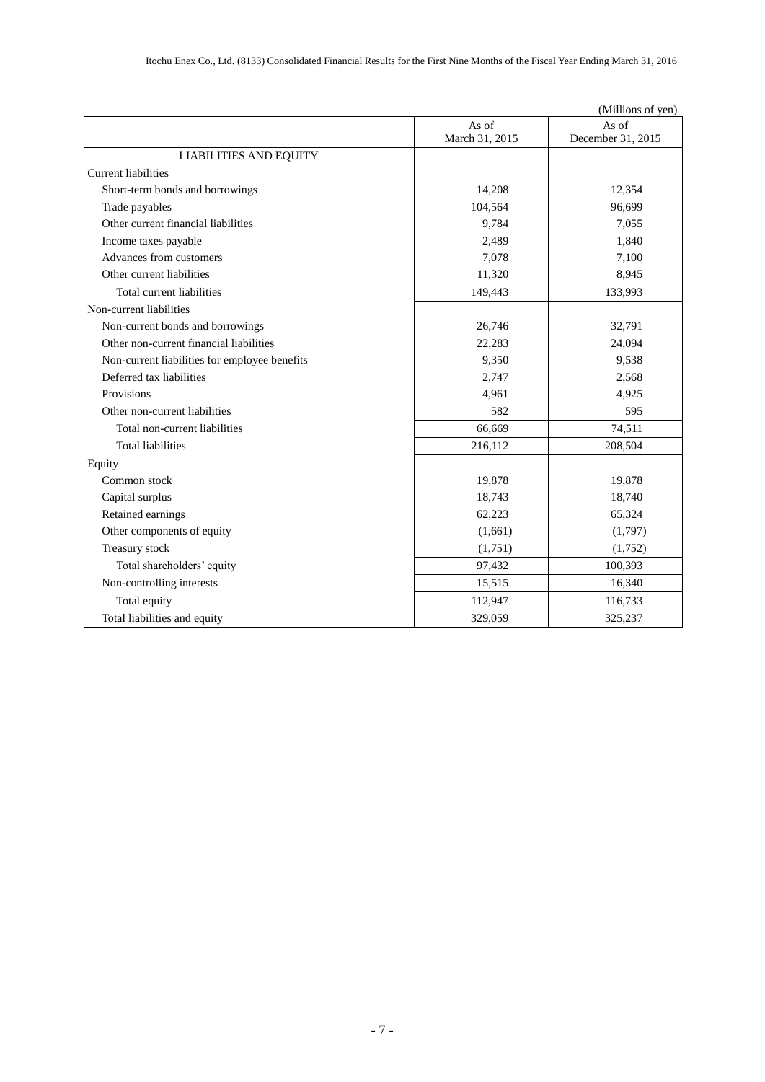|                                               |                | (Millions of yen) |
|-----------------------------------------------|----------------|-------------------|
|                                               | As of          | As of             |
|                                               | March 31, 2015 | December 31, 2015 |
| <b>LIABILITIES AND EQUITY</b>                 |                |                   |
| <b>Current liabilities</b>                    |                |                   |
| Short-term bonds and borrowings               | 14,208         | 12,354            |
| Trade payables                                | 104,564        | 96,699            |
| Other current financial liabilities           | 9,784          | 7,055             |
| Income taxes payable                          | 2,489          | 1,840             |
| Advances from customers                       | 7,078          | 7,100             |
| Other current liabilities                     | 11,320         | 8,945             |
| Total current liabilities                     | 149,443        | 133,993           |
| Non-current liabilities                       |                |                   |
| Non-current bonds and borrowings              | 26,746         | 32,791            |
| Other non-current financial liabilities       | 22,283         | 24,094            |
| Non-current liabilities for employee benefits | 9,350          | 9,538             |
| Deferred tax liabilities                      | 2,747          | 2,568             |
| Provisions                                    | 4,961          | 4,925             |
| Other non-current liabilities                 | 582            | 595               |
| Total non-current liabilities                 | 66,669         | 74,511            |
| <b>Total liabilities</b>                      | 216,112        | 208,504           |
| Equity                                        |                |                   |
| Common stock                                  | 19,878         | 19,878            |
| Capital surplus                               | 18,743         | 18,740            |
| Retained earnings                             | 62,223         | 65,324            |
| Other components of equity                    | (1,661)        | (1,797)           |
| Treasury stock                                | (1,751)        | (1,752)           |
| Total shareholders' equity                    | 97,432         | 100,393           |
| Non-controlling interests                     | 15,515         | 16,340            |
| Total equity                                  | 112,947        | 116,733           |
| Total liabilities and equity                  | 329,059        | 325,237           |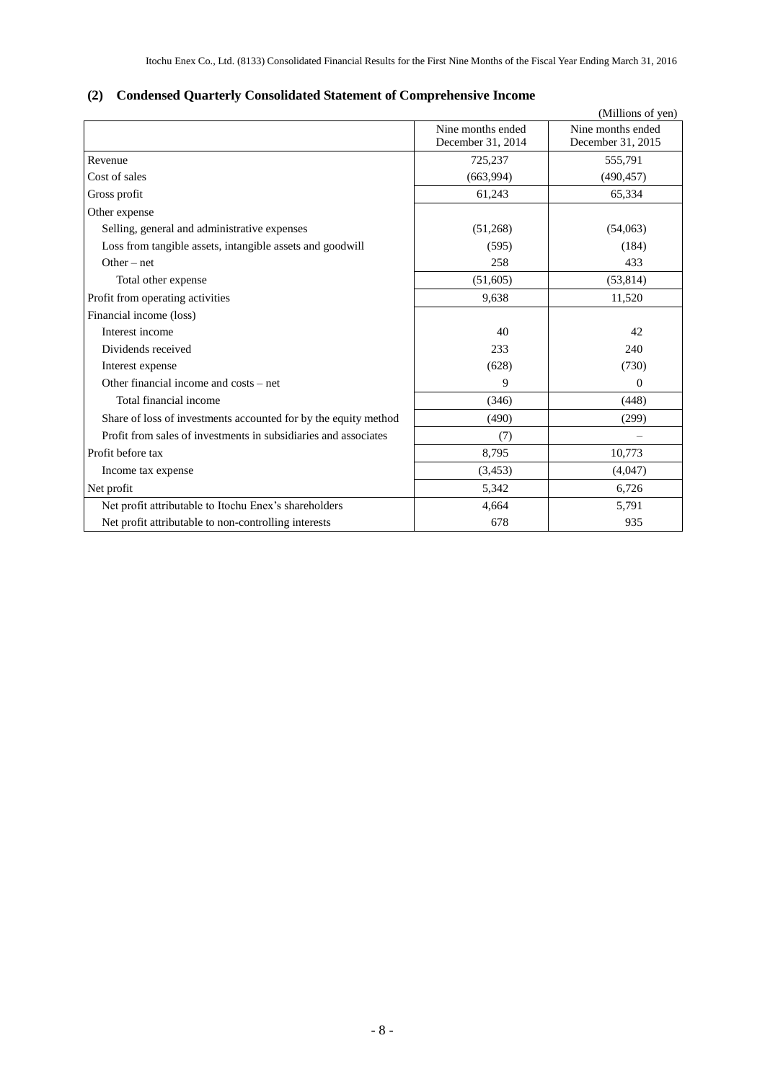# **(2) Condensed Quarterly Consolidated Statement of Comprehensive Income**

|                                                                 |                                        | (Millions of yen)                      |
|-----------------------------------------------------------------|----------------------------------------|----------------------------------------|
|                                                                 | Nine months ended<br>December 31, 2014 | Nine months ended<br>December 31, 2015 |
| Revenue                                                         | 725,237                                | 555,791                                |
| Cost of sales                                                   | (663,994)                              | (490, 457)                             |
| Gross profit                                                    | 61,243                                 | 65,334                                 |
| Other expense                                                   |                                        |                                        |
| Selling, general and administrative expenses                    | (51,268)                               | (54,063)                               |
| Loss from tangible assets, intangible assets and goodwill       | (595)                                  | (184)                                  |
| $Other-net$                                                     | 258                                    | 433                                    |
| Total other expense                                             | (51,605)                               | (53, 814)                              |
| Profit from operating activities                                | 9,638                                  | 11,520                                 |
| Financial income (loss)                                         |                                        |                                        |
| Interest income                                                 | 40                                     | 42                                     |
| Dividends received                                              | 233                                    | 240                                    |
| Interest expense                                                | (628)                                  | (730)                                  |
| Other financial income and costs – net                          | 9                                      | $\Omega$                               |
| Total financial income                                          | (346)                                  | (448)                                  |
| Share of loss of investments accounted for by the equity method | (490)                                  | (299)                                  |
| Profit from sales of investments in subsidiaries and associates | (7)                                    |                                        |
| Profit before tax                                               | 8,795                                  | 10,773                                 |
| Income tax expense                                              | (3,453)                                | (4,047)                                |
| Net profit                                                      | 5,342                                  | 6,726                                  |
| Net profit attributable to Itochu Enex's shareholders           | 4,664                                  | 5,791                                  |
| Net profit attributable to non-controlling interests            | 678                                    | 935                                    |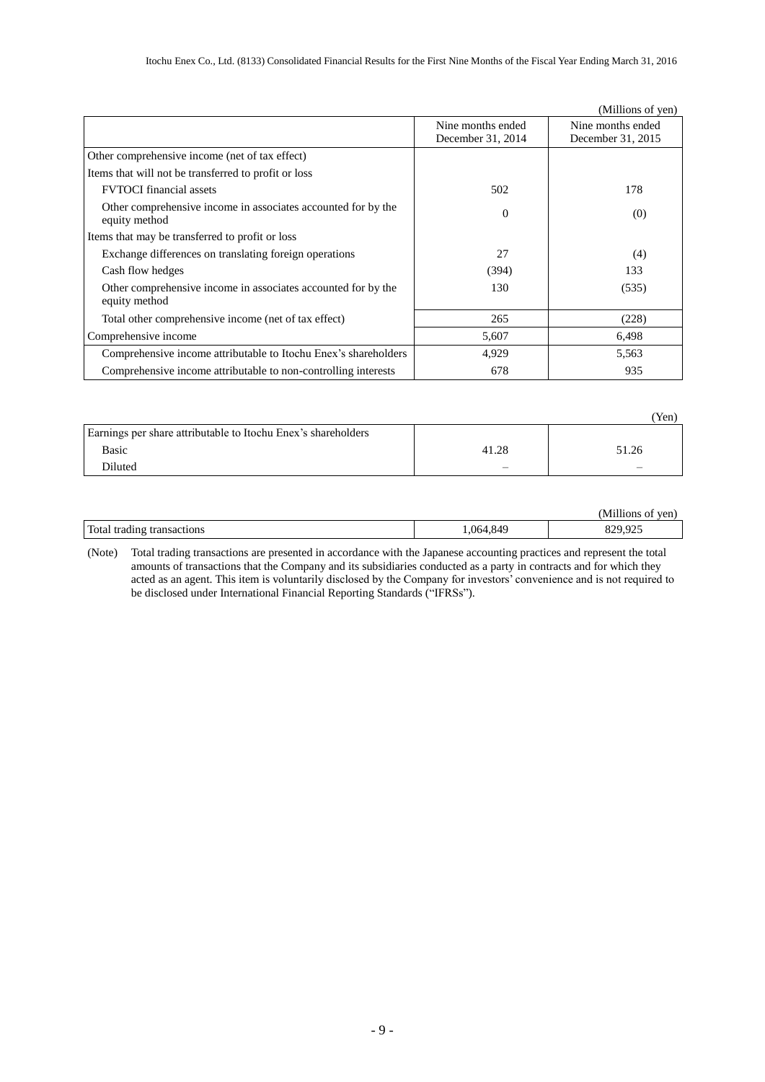|                                                                                |                   | (Millions of yen) |
|--------------------------------------------------------------------------------|-------------------|-------------------|
|                                                                                | Nine months ended | Nine months ended |
|                                                                                | December 31, 2014 | December 31, 2015 |
| Other comprehensive income (net of tax effect)                                 |                   |                   |
| Items that will not be transferred to profit or loss                           |                   |                   |
| <b>FVTOCI</b> financial assets                                                 | 502               | 178               |
| Other comprehensive income in associates accounted for by the<br>equity method | $\overline{0}$    | (0)               |
| Items that may be transferred to profit or loss                                |                   |                   |
| Exchange differences on translating foreign operations                         | 27                | (4)               |
| Cash flow hedges                                                               | (394)             | 133               |
| Other comprehensive income in associates accounted for by the<br>equity method | 130               | (535)             |
| Total other comprehensive income (net of tax effect)                           | 265               | (228)             |
| Comprehensive income                                                           | 5,607             | 6,498             |
| Comprehensive income attributable to Itochu Enex's shareholders                | 4,929             | 5,563             |
| Comprehensive income attributable to non-controlling interests                 | 678               | 935               |

|                                                               |                          | Yen)  |
|---------------------------------------------------------------|--------------------------|-------|
| Earnings per share attributable to Itochu Enex's shareholders |                          |       |
| Basic                                                         | 41.28                    | 51.26 |
| Diluted                                                       | $\overline{\phantom{a}}$ |       |

|                            |          | (Millions of yen) |
|----------------------------|----------|-------------------|
| Total trading transactions | .064,849 | 925               |

(Note) Total trading transactions are presented in accordance with the Japanese accounting practices and represent the total amounts of transactions that the Company and its subsidiaries conducted as a party in contracts and for which they acted as an agent. This item is voluntarily disclosed by the Company for investors' convenience and is not required to be disclosed under International Financial Reporting Standards ("IFRSs").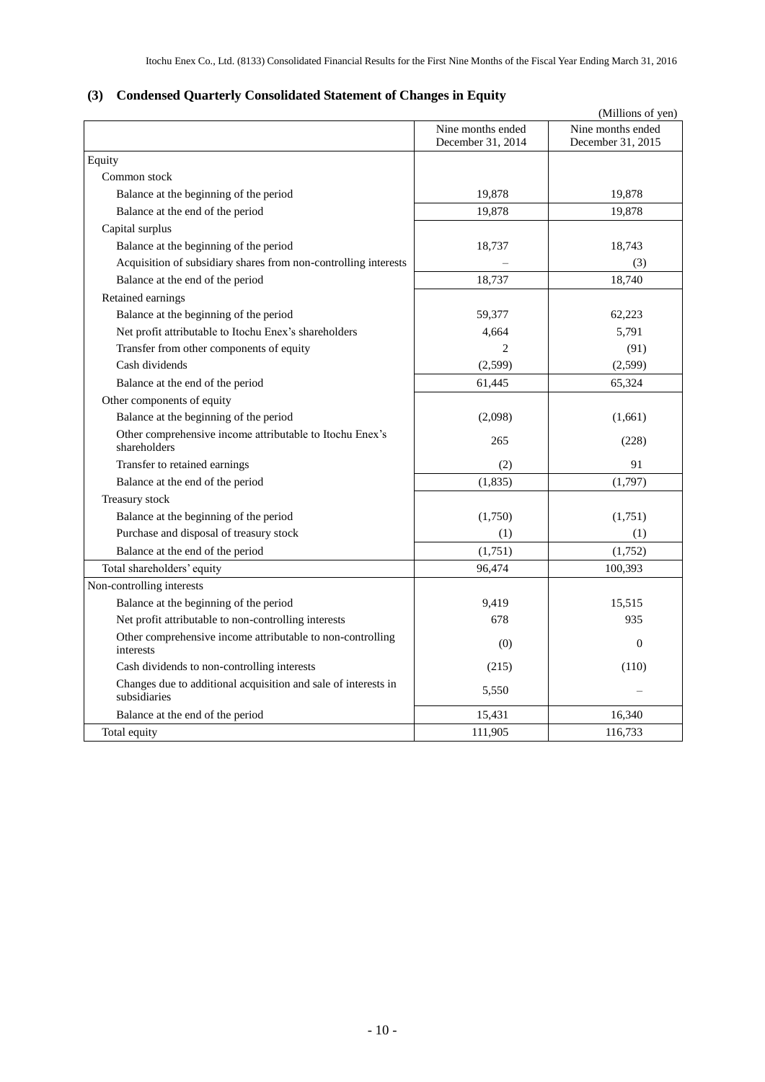# **(3) Condensed Quarterly Consolidated Statement of Changes in Equity**

|                                                                                |                                        | (Millions of yen)                      |
|--------------------------------------------------------------------------------|----------------------------------------|----------------------------------------|
|                                                                                | Nine months ended<br>December 31, 2014 | Nine months ended<br>December 31, 2015 |
| Equity                                                                         |                                        |                                        |
| Common stock                                                                   |                                        |                                        |
| Balance at the beginning of the period                                         | 19,878                                 | 19,878                                 |
| Balance at the end of the period                                               | 19.878                                 | 19.878                                 |
| Capital surplus                                                                |                                        |                                        |
| Balance at the beginning of the period                                         | 18,737                                 | 18,743                                 |
| Acquisition of subsidiary shares from non-controlling interests                |                                        | (3)                                    |
| Balance at the end of the period                                               | 18,737                                 | 18,740                                 |
| Retained earnings                                                              |                                        |                                        |
| Balance at the beginning of the period                                         | 59,377                                 | 62,223                                 |
| Net profit attributable to Itochu Enex's shareholders                          | 4,664                                  | 5,791                                  |
| Transfer from other components of equity                                       | $\overline{2}$                         | (91)                                   |
| Cash dividends                                                                 | (2,599)                                | (2,599)                                |
| Balance at the end of the period                                               | 61,445                                 | 65,324                                 |
| Other components of equity                                                     |                                        |                                        |
| Balance at the beginning of the period                                         | (2,098)                                | (1,661)                                |
| Other comprehensive income attributable to Itochu Enex's<br>shareholders       | 265                                    | (228)                                  |
| Transfer to retained earnings                                                  | (2)                                    | 91                                     |
| Balance at the end of the period                                               | (1, 835)                               | (1,797)                                |
| Treasury stock                                                                 |                                        |                                        |
| Balance at the beginning of the period                                         | (1,750)                                | (1,751)                                |
| Purchase and disposal of treasury stock                                        | (1)                                    | (1)                                    |
| Balance at the end of the period                                               | (1,751)                                | (1,752)                                |
| Total shareholders' equity                                                     | 96,474                                 | 100,393                                |
| Non-controlling interests                                                      |                                        |                                        |
| Balance at the beginning of the period                                         | 9,419                                  | 15,515                                 |
| Net profit attributable to non-controlling interests                           | 678                                    | 935                                    |
| Other comprehensive income attributable to non-controlling<br>interests        | (0)                                    | $\Omega$                               |
| Cash dividends to non-controlling interests                                    | (215)                                  | (110)                                  |
| Changes due to additional acquisition and sale of interests in<br>subsidiaries | 5,550                                  |                                        |
| Balance at the end of the period                                               | 15,431                                 | 16,340                                 |
| Total equity                                                                   | 111,905                                | 116,733                                |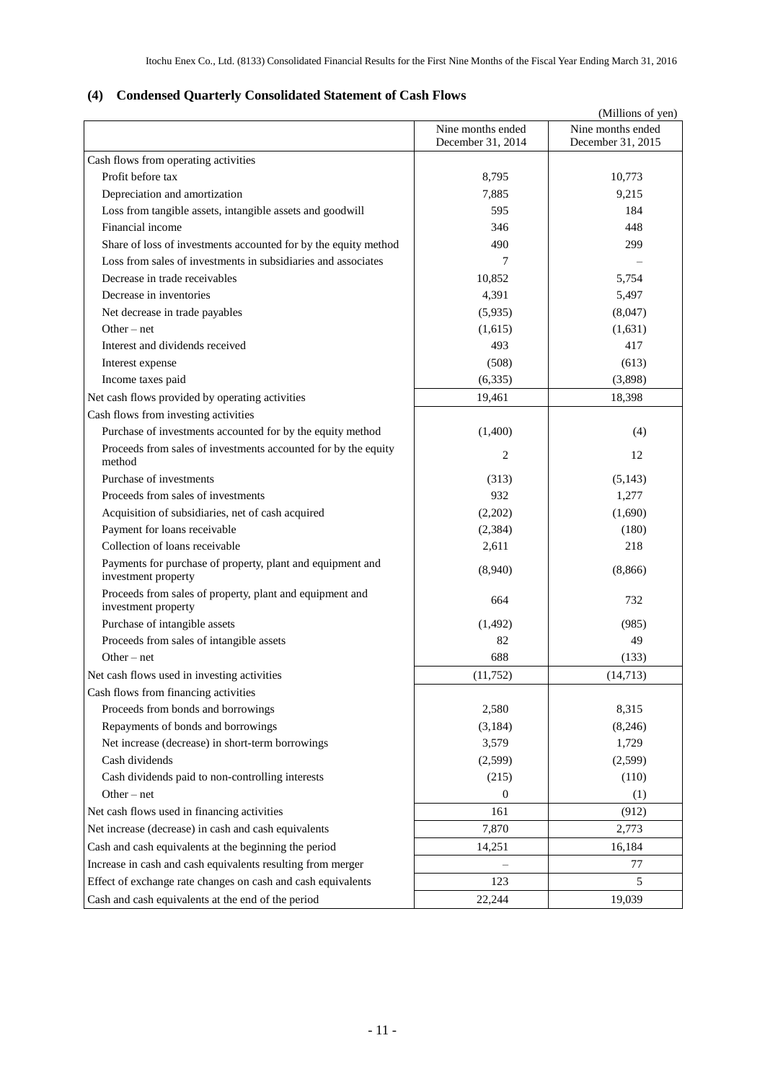# **(4) Condensed Quarterly Consolidated Statement of Cash Flows**

|                                                                                   |                                        | (Millions of yen)                      |
|-----------------------------------------------------------------------------------|----------------------------------------|----------------------------------------|
|                                                                                   | Nine months ended<br>December 31, 2014 | Nine months ended<br>December 31, 2015 |
| Cash flows from operating activities                                              |                                        |                                        |
| Profit before tax                                                                 | 8,795                                  | 10,773                                 |
| Depreciation and amortization                                                     | 7,885                                  | 9,215                                  |
| Loss from tangible assets, intangible assets and goodwill                         | 595                                    | 184                                    |
| Financial income                                                                  | 346                                    | 448                                    |
| Share of loss of investments accounted for by the equity method                   | 490                                    | 299                                    |
| Loss from sales of investments in subsidiaries and associates                     | 7                                      |                                        |
| Decrease in trade receivables                                                     | 10,852                                 | 5,754                                  |
| Decrease in inventories                                                           | 4,391                                  | 5,497                                  |
| Net decrease in trade payables                                                    | (5,935)                                | (8,047)                                |
| Other $-$ net                                                                     | (1,615)                                | (1,631)                                |
| Interest and dividends received                                                   | 493                                    | 417                                    |
| Interest expense                                                                  | (508)                                  | (613)                                  |
| Income taxes paid                                                                 | (6, 335)                               | (3,898)                                |
| Net cash flows provided by operating activities                                   | 19,461                                 | 18,398                                 |
| Cash flows from investing activities                                              |                                        |                                        |
| Purchase of investments accounted for by the equity method                        | (1,400)                                | (4)                                    |
| Proceeds from sales of investments accounted for by the equity<br>method          | 2                                      | 12                                     |
| Purchase of investments                                                           | (313)                                  | (5,143)                                |
| Proceeds from sales of investments                                                | 932                                    | 1,277                                  |
| Acquisition of subsidiaries, net of cash acquired                                 | (2,202)                                | (1,690)                                |
| Payment for loans receivable                                                      | (2, 384)                               | (180)                                  |
| Collection of loans receivable                                                    | 2,611                                  | 218                                    |
| Payments for purchase of property, plant and equipment and<br>investment property | (8,940)                                | (8, 866)                               |
| Proceeds from sales of property, plant and equipment and<br>investment property   | 664                                    | 732                                    |
| Purchase of intangible assets                                                     | (1, 492)                               | (985)                                  |
| Proceeds from sales of intangible assets                                          | 82                                     | 49                                     |
| Other $-$ net                                                                     | 688                                    | (133)                                  |
| Net cash flows used in investing activities                                       | (11, 752)                              | (14, 713)                              |
| Cash flows from financing activities                                              |                                        |                                        |
| Proceeds from bonds and borrowings                                                | 2,580                                  | 8,315                                  |
| Repayments of bonds and borrowings                                                | (3,184)                                | (8,246)                                |
| Net increase (decrease) in short-term borrowings                                  | 3,579                                  | 1,729                                  |
| Cash dividends                                                                    | (2,599)                                | (2,599)                                |
| Cash dividends paid to non-controlling interests                                  | (215)                                  | (110)                                  |
| Other $-$ net                                                                     | $\overline{0}$                         | (1)                                    |
| Net cash flows used in financing activities                                       | 161                                    | (912)                                  |
| Net increase (decrease) in cash and cash equivalents                              | 7,870                                  | 2,773                                  |
| Cash and cash equivalents at the beginning the period                             | 14,251                                 | 16,184                                 |
| Increase in cash and cash equivalents resulting from merger                       |                                        | 77                                     |
| Effect of exchange rate changes on cash and cash equivalents                      | 123                                    | 5                                      |
| Cash and cash equivalents at the end of the period                                | 22,244                                 | 19,039                                 |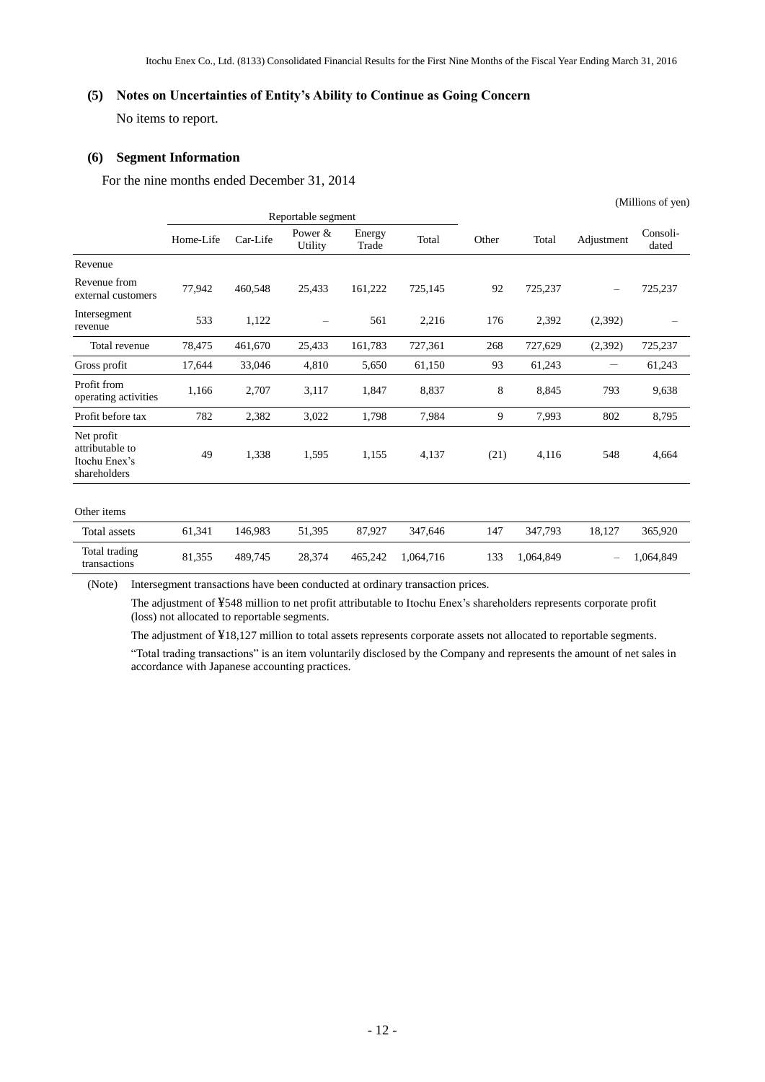#### **(5) Notes on Uncertainties of Entity's Ability to Continue as Going Concern**

No items to report.

#### **(6) Segment Information**

For the nine months ended December 31, 2014

|                                                                |           |          |                    |                 |           |       |           |            | (Millions of yen) |
|----------------------------------------------------------------|-----------|----------|--------------------|-----------------|-----------|-------|-----------|------------|-------------------|
|                                                                |           |          | Reportable segment |                 |           |       |           |            |                   |
|                                                                | Home-Life | Car-Life | Power &<br>Utility | Energy<br>Trade | Total     | Other | Total     | Adjustment | Consoli-<br>dated |
| Revenue                                                        |           |          |                    |                 |           |       |           |            |                   |
| Revenue from<br>external customers                             | 77,942    | 460,548  | 25,433             | 161,222         | 725,145   | 92    | 725,237   |            | 725,237           |
| Intersegment<br>revenue                                        | 533       | 1,122    |                    | 561             | 2,216     | 176   | 2,392     | (2,392)    |                   |
| Total revenue                                                  | 78,475    | 461,670  | 25,433             | 161,783         | 727,361   | 268   | 727,629   | (2,392)    | 725,237           |
| Gross profit                                                   | 17,644    | 33,046   | 4,810              | 5,650           | 61,150    | 93    | 61,243    | -          | 61,243            |
| Profit from<br>operating activities                            | 1,166     | 2,707    | 3,117              | 1,847           | 8,837     | 8     | 8,845     | 793        | 9,638             |
| Profit before tax                                              | 782       | 2,382    | 3,022              | 1,798           | 7,984     | 9     | 7,993     | 802        | 8,795             |
| Net profit<br>attributable to<br>Itochu Enex's<br>shareholders | 49        | 1,338    | 1,595              | 1,155           | 4,137     | (21)  | 4,116     | 548        | 4,664             |
| Other items                                                    |           |          |                    |                 |           |       |           |            |                   |
| Total assets                                                   | 61,341    | 146,983  | 51,395             | 87,927          | 347,646   | 147   | 347,793   | 18,127     | 365,920           |
| Total trading<br>transactions                                  | 81,355    | 489,745  | 28,374             | 465,242         | 1,064,716 | 133   | 1,064,849 |            | 1,064,849         |

(Note) Intersegment transactions have been conducted at ordinary transaction prices.

The adjustment of ¥548 million to net profit attributable to Itochu Enex's shareholders represents corporate profit (loss) not allocated to reportable segments.

The adjustment of ¥18,127 million to total assets represents corporate assets not allocated to reportable segments.

―Total trading transactions‖ is an item voluntarily disclosed by the Company and represents the amount of net sales in accordance with Japanese accounting practices.